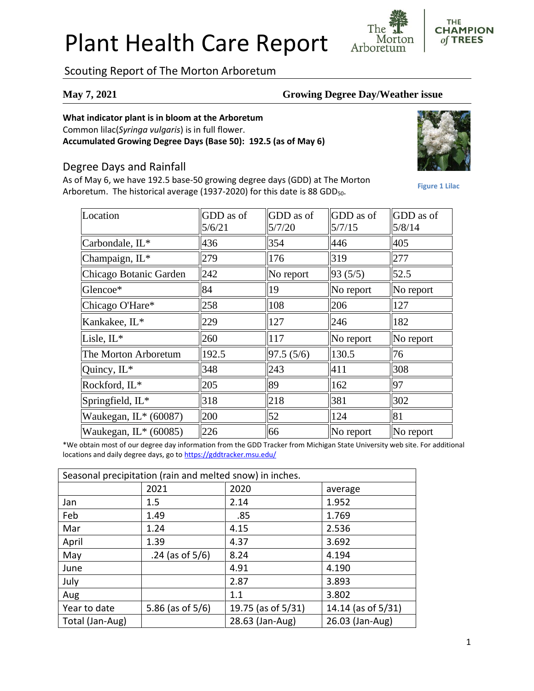# Plant Health Care Report

Scouting Report of The Morton Arboretum

### **May 7, 2021 Growing Degree Day/Weather issue**

Morton

Arboretum

### **What indicator plant is in bloom at the Arboretum**

Common lilac(*Syringa vulgaris*) is in full flower. **Accumulated Growing Degree Days (Base 50): 192.5 (as of May 6)**

## Degree Days and Rainfall

As of May 6, we have 192.5 base-50 growing degree days (GDD) at The Morton Arboretum. The historical average (1937-2020) for this date is 88 GDD<sub>50</sub>.



**THE CHAMPION** 

of TREES

**Figure 1 Lilac**

| Location                | GDD as of<br>5/6/21 | GDD as of<br>5/7/20 | GDD as of<br>5/7/15 | GDD as of<br>5/8/14 |
|-------------------------|---------------------|---------------------|---------------------|---------------------|
| Carbondale, IL*         | 436                 | 354                 | 446                 | 405                 |
| Champaign, IL*          | 279                 | 176                 | 319                 | 277                 |
| Chicago Botanic Garden  | 242                 | No report           | 93(5/5)             | 52.5                |
| Glencoe*                | 84                  | 19                  | No report           | No report           |
| Chicago O'Hare*         | 258                 | 108                 | 206                 | 127                 |
| Kankakee, IL*           | 229                 | 127                 | 246                 | 182                 |
| Lisle, IL*              | 260                 | 117                 | $\ $ No report      | No report           |
| The Morton Arboretum    | 192.5               | 97.5(5/6)           | 130.5               | 76                  |
| Quincy, IL*             | 348                 | 243                 | 411                 | 308                 |
| Rockford, IL*           | 205                 | 89                  | 162                 | 97                  |
| Springfield, IL*        | 318                 | 218                 | 381                 | 302                 |
| Waukegan, IL* (60087)   | 200                 | 52                  | 124                 | 81                  |
| Waukegan, $IL^*(60085)$ | 226                 | 66                  | No report           | No report           |

\*We obtain most of our degree day information from the GDD Tracker from Michigan State University web site. For additional locations and daily degree days, go to <https://gddtracker.msu.edu/>

| Seasonal precipitation (rain and melted snow) in inches. |                     |                    |                    |  |  |
|----------------------------------------------------------|---------------------|--------------------|--------------------|--|--|
|                                                          | 2021                | 2020               | average            |  |  |
| Jan                                                      | 1.5                 | 2.14               | 1.952              |  |  |
| Feb                                                      | 1.49                | .85                | 1.769              |  |  |
| Mar                                                      | 1.24                | 4.15               | 2.536              |  |  |
| April                                                    | 1.39                | 4.37               | 3.692              |  |  |
| May                                                      | $.24$ (as of 5/6)   | 8.24               | 4.194              |  |  |
| June                                                     |                     | 4.91               | 4.190              |  |  |
| July                                                     |                     | 2.87               | 3.893              |  |  |
| Aug                                                      |                     | 1.1                | 3.802              |  |  |
| Year to date                                             | 5.86 (as of $5/6$ ) | 19.75 (as of 5/31) | 14.14 (as of 5/31) |  |  |
| Total (Jan-Aug)                                          |                     | 28.63 (Jan-Aug)    | 26.03 (Jan-Aug)    |  |  |